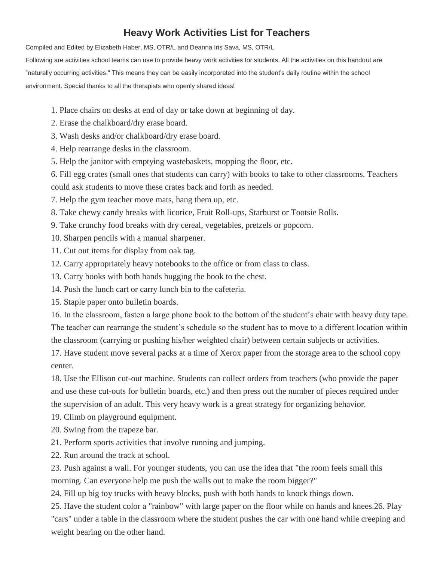## **Heavy Work Activities List for Teachers**

Compiled and Edited by Elizabeth Haber, MS, OTR/L and Deanna Iris Sava, MS, OTR/L

Following are activities school teams can use to provide heavy work activities for students. All the activities on this handout are "naturally occurring activities." This means they can be easily incorporated into the student's daily routine within the school environment. Special thanks to all the therapists who openly shared ideas!

- 1. Place chairs on desks at end of day or take down at beginning of day.
- 2. Erase the chalkboard/dry erase board.
- 3. Wash desks and/or chalkboard/dry erase board.
- 4. Help rearrange desks in the classroom.
- 5. Help the janitor with emptying wastebaskets, mopping the floor, etc.
- 6. Fill egg crates (small ones that students can carry) with books to take to other classrooms. Teachers
- could ask students to move these crates back and forth as needed.
- 7. Help the gym teacher move mats, hang them up, etc.
- 8. Take chewy candy breaks with licorice, Fruit Roll-ups, Starburst or Tootsie Rolls.
- 9. Take crunchy food breaks with dry cereal, vegetables, pretzels or popcorn.
- 10. Sharpen pencils with a manual sharpener.
- 11. Cut out items for display from oak tag.
- 12. Carry appropriately heavy notebooks to the office or from class to class.
- 13. Carry books with both hands hugging the book to the chest.
- 14. Push the lunch cart or carry lunch bin to the cafeteria.
- 15. Staple paper onto bulletin boards.

16. In the classroom, fasten a large phone book to the bottom of the student's chair with heavy duty tape. The teacher can rearrange the student's schedule so the student has to move to a different location within the classroom (carrying or pushing his/her weighted chair) between certain subjects or activities.

17. Have student move several packs at a time of Xerox paper from the storage area to the school copy center.

18. Use the Ellison cut-out machine. Students can collect orders from teachers (who provide the paper and use these cut-outs for bulletin boards, etc.) and then press out the number of pieces required under the supervision of an adult. This very heavy work is a great strategy for organizing behavior.

- 19. Climb on playground equipment.
- 20. Swing from the trapeze bar.
- 21. Perform sports activities that involve running and jumping.
- 22. Run around the track at school.

23. Push against a wall. For younger students, you can use the idea that "the room feels small this morning. Can everyone help me push the walls out to make the room bigger?"

24. Fill up big toy trucks with heavy blocks, push with both hands to knock things down.

25. Have the student color a "rainbow" with large paper on the floor while on hands and knees.26. Play "cars" under a table in the classroom where the student pushes the car with one hand while creeping and weight bearing on the other hand.